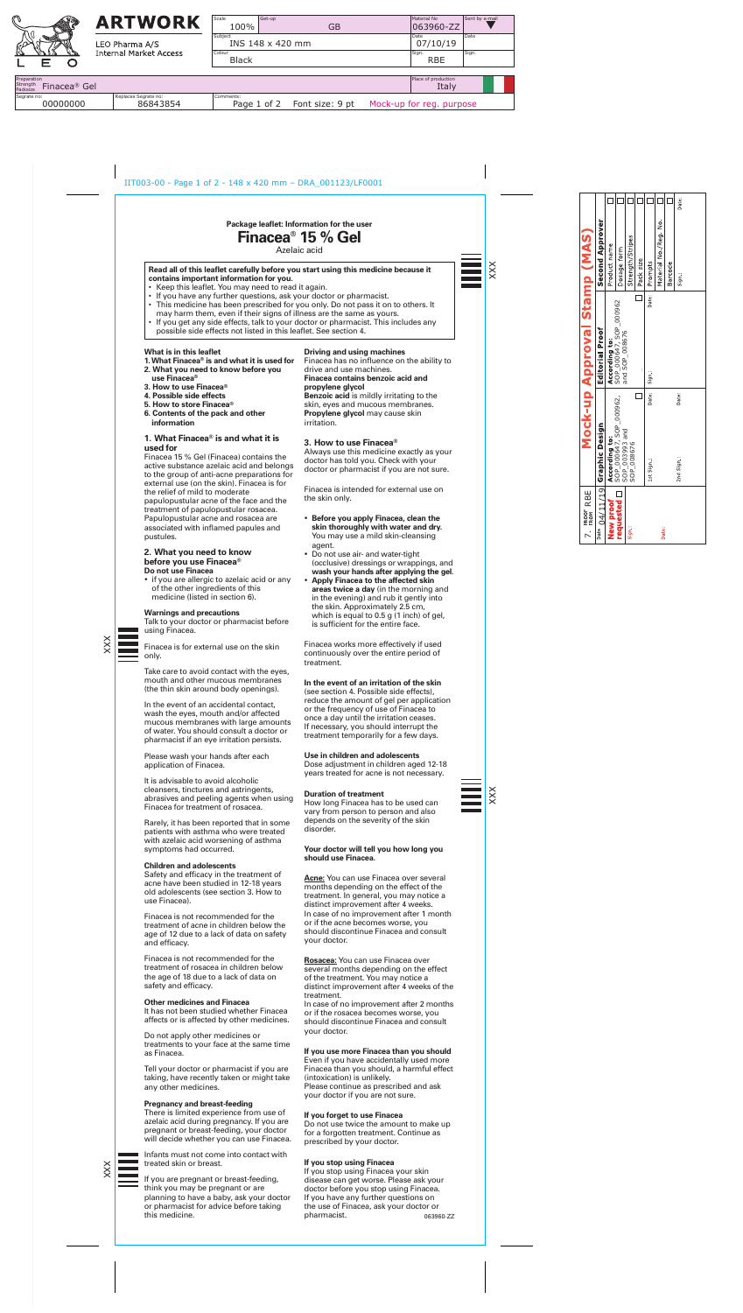### **What is in this leaflet**

- **1. What Finacea**® **is and what it is used for**
- **2. What you need to know before you use Finacea**®
- **3. How to use Finacea**®
- 
- **4. Possible side effects 5. How to store Finacea**®
- **6. Contents of the pack and other information**

• if you are allergic to azelaic acid or any of the other ingredients of this medicine (listed in section 6).

# **1. What Finacea**® **is and what it is used for**

Finacea 15 % Gel (Finacea) contains the active substance azelaic acid and belongs to the group of anti-acne preparations for external use (on the skin). Finacea is for the relief of mild to moderate papulopustular acne of the face and the treatment of papulopustular rosacea. Papulopustular acne and rosacea are associated with inflamed papules and pustules.

#### **2. What you need to know before you use Finacea**® **Do not use Finacea**

#### **Warnings and precautions**

Talk to your doctor or pharmacist before using Finacea.



Finacea is for external use on the skin only.

Take care to avoid contact with the eyes, mouth and other mucous membranes (the thin skin around body openings).

In the event of an accidental contact, wash the eyes, mouth and/or affected mucous membranes with large amounts of water. You should consult a doctor or pharmacist if an eye irritation persists.

Please wash your hands after each application of Finacea.

It is advisable to avoid alcoholic cleansers, tinctures and astringents, abrasives and peeling agents when using Finacea for treatment of rosacea.

Rarely, it has been reported that in some patients with asthma who were treated with azelaic acid worsening of asthma symptoms had occurred.

# **Children and adolescents**

Safety and efficacy in the treatment of acne have been studied in 12-18 years old adolescents (see section 3. How to use Finacea).

Finacea is not recommended for the treatment of acne in children below the age of 12 due to a lack of data on safety and efficacy.

Finacea is not recommended for the treatment of rosacea in children below the age of 18 due to a lack of data on safety and efficacy.

#### **Other medicines and Finacea**

It has not been studied whether Finacea affects or is affected by other medicines.

Do not apply other medicines or treatments to your face at the same time as Finacea.

Tell your doctor or pharmacist if you are taking, have recently taken or might take any other medicines.

#### **Pregnancy and breast-feeding**

There is limited experience from use of azelaic acid during pregnancy. If you are pregnant or breast-feeding, your doctor will decide whether you can use Finacea.

Infants must not come into contact with treated skin or breast.

If you are pregnant or breast-feeding, think you may be pregnant or are planning to have a baby, ask your doctor or pharmacist for advice before taking this medicine.

# **Driving and using machines**

Finacea has no influence on the ability to drive and use machines. **Finacea contains benzoic acid and** 

# **propylene glycol**

**Benzoic acid** is mildly irritating to the skin, eyes and mucous membranes. **Propylene glycol** may cause skin irritation.

# **3. How to use Finacea**®

Always use this medicine exactly as your doctor has told you. Check with your doctor or pharmacist if you are not sure.

Finacea is intended for external use on the skin only.

- • **Before you apply Finacea, clean the skin thoroughly with water and dry.**  You may use a mild skin-cleansing agent.
- • Do not use air- and water-tight (occlusive) dressings or wrappings, and **wash your hands after applying the gel**.
- • **Apply Finacea to the affected skin areas twice a day** (in the morning and in the evening) and rub it gently into the skin. Approximately 2.5 cm, which is equal to 0.5 g (1 inch) of gel, is sufficient for the entire face.

Finacea works more effectively if used continuously over the entire period of treatment.

# **In the event of an irritation of the skin**

(see section 4. Possible side effects), reduce the amount of gel per application or the frequency of use of Finacea to once a day until the irritation ceases. If necessary, you should interrupt the treatment temporarily for a few days.

# **Use in children and adolescents**

Dose adjustment in children aged 12-18 years treated for acne is not necessary.

# **Duration of treatment**

How long Finacea has to be used can vary from person to person and also depends on the severity of the skin disorder.

# **Your doctor will tell you how long you should use Finacea.**

**Acne:** You can use Finacea over several months depending on the effect of the treatment. In general, you may notice a distinct improvement after 4 weeks. In case of no improvement after 1 month or if the acne becomes worse, you should discontinue Finacea and consult your doctor.

**Rosacea:** You can use Finacea over several months depending on the effect of the treatment. You may notice a distinct improvement after 4 weeks of the treatment. In case of no improvement after 2 months or if the rosacea becomes worse, you should discontinue Finacea and consult your doctor.



#### **If you use more Finacea than you should**

Even if you have accidentally used more Finacea than you should, a harmful effect (intoxication) is unlikely. Please continue as prescribed and ask your doctor if you are not sure.

#### **If you forget to use Finacea**

Do not use twice the amount to make up for a forgotten treatment. Continue as prescribed by your doctor.

# **If you stop using Finacea**

**Package leaflet: Information for the user** 

**Finacea**®  **15 % Gel**

Azelaic acid

#### **Read all of this leaflet carefully before you start using this medicine because it contains important information for you.**

If you stop using Finacea your skin disease can get worse. Please ask your doctor before you stop using Finacea. If you have any further questions on the use of Finacea, ask your doctor or pharmacist. 063960-ZZ

- Keep this leaflet. You may need to read it again.
- If you have any further questions, ask your doctor or pharmacist.
- This medicine has been prescribed for you only. Do not pass it on to others. It
- may harm them, even if their signs of illness are the same as yours. • If you get any side effects, talk to your doctor or pharmacist. This includes any possible side effects not listed in this leaflet. See section 4.